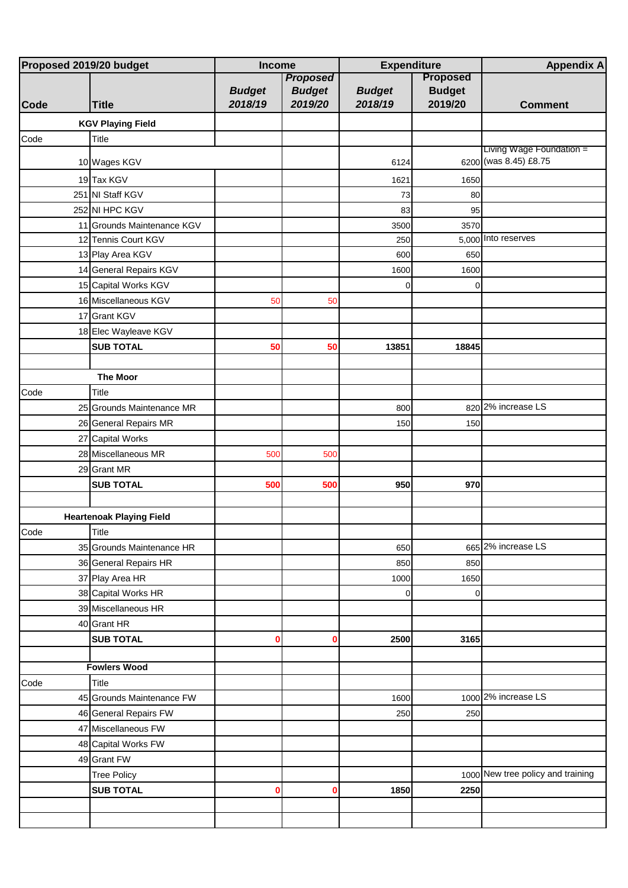| Proposed 2019/20 budget |                                 | Income                   |                                             | <b>Expenditure</b>       |                                             | <b>Appendix A</b>                 |
|-------------------------|---------------------------------|--------------------------|---------------------------------------------|--------------------------|---------------------------------------------|-----------------------------------|
| Code                    | <b>Title</b>                    | <b>Budget</b><br>2018/19 | <b>Proposed</b><br><b>Budget</b><br>2019/20 | <b>Budget</b><br>2018/19 | <b>Proposed</b><br><b>Budget</b><br>2019/20 | <b>Comment</b>                    |
|                         | <b>KGV Playing Field</b>        |                          |                                             |                          |                                             |                                   |
| Code                    | Title                           |                          |                                             |                          |                                             |                                   |
|                         |                                 |                          |                                             |                          |                                             | Living Wage Foundation =          |
|                         | 10 Wages KGV                    |                          |                                             | 6124                     |                                             | 6200 (was 8.45) £8.75             |
|                         | 19 Tax KGV                      |                          |                                             | 1621                     | 1650                                        |                                   |
|                         | 251 NI Staff KGV                |                          |                                             | 73                       | 80                                          |                                   |
|                         | 252 NI HPC KGV                  |                          |                                             | 83                       | 95                                          |                                   |
|                         | 11 Grounds Maintenance KGV      |                          |                                             | 3500                     | 3570                                        |                                   |
|                         | 12 Tennis Court KGV             |                          |                                             | 250                      |                                             | 5,000 Into reserves               |
|                         | 13 Play Area KGV                |                          |                                             | 600                      | 650                                         |                                   |
|                         | 14 General Repairs KGV          |                          |                                             | 1600                     | 1600                                        |                                   |
|                         | 15 Capital Works KGV            |                          |                                             | 0                        | $\Omega$                                    |                                   |
|                         | 16 Miscellaneous KGV            | 50                       | 50                                          |                          |                                             |                                   |
|                         | 17 Grant KGV                    |                          |                                             |                          |                                             |                                   |
|                         | 18 Elec Wayleave KGV            |                          |                                             |                          |                                             |                                   |
|                         | <b>SUB TOTAL</b>                | 50                       | 50                                          | 13851                    | 18845                                       |                                   |
|                         |                                 |                          |                                             |                          |                                             |                                   |
|                         | <b>The Moor</b>                 |                          |                                             |                          |                                             |                                   |
| Code                    | Title                           |                          |                                             |                          |                                             |                                   |
|                         | 25 Grounds Maintenance MR       |                          |                                             | 800                      |                                             | 820 2% increase LS                |
|                         | 26 General Repairs MR           |                          |                                             | 150                      | 150                                         |                                   |
|                         | 27 Capital Works                |                          |                                             |                          |                                             |                                   |
|                         | 28 Miscellaneous MR             | 500                      | 500                                         |                          |                                             |                                   |
|                         | 29 Grant MR                     |                          |                                             |                          |                                             |                                   |
|                         | <b>SUB TOTAL</b>                | 500                      | 500                                         | 950                      | 970                                         |                                   |
|                         |                                 |                          |                                             |                          |                                             |                                   |
|                         | <b>Heartenoak Playing Field</b> |                          |                                             |                          |                                             |                                   |
| Code                    | Title                           |                          |                                             |                          |                                             |                                   |
|                         | 35 Grounds Maintenance HR       |                          |                                             | 650                      |                                             | 665 2% increase LS                |
|                         | 36 General Repairs HR           |                          |                                             | 850                      | 850                                         |                                   |
|                         | 37 Play Area HR                 |                          |                                             | 1000                     | 1650                                        |                                   |
|                         | 38 Capital Works HR             |                          |                                             | 0                        | $\overline{0}$                              |                                   |
|                         | 39 Miscellaneous HR             |                          |                                             |                          |                                             |                                   |
|                         | 40 Grant HR                     |                          |                                             |                          |                                             |                                   |
|                         | <b>SUB TOTAL</b>                | 0                        | O                                           | 2500                     | 3165                                        |                                   |
|                         |                                 |                          |                                             |                          |                                             |                                   |
|                         | <b>Fowlers Wood</b>             |                          |                                             |                          |                                             |                                   |
| Code                    | Title                           |                          |                                             |                          |                                             |                                   |
|                         | 45 Grounds Maintenance FW       |                          |                                             | 1600                     |                                             | 1000 2% increase LS               |
|                         | 46 General Repairs FW           |                          |                                             | 250                      | 250                                         |                                   |
|                         | 47 Miscellaneous FW             |                          |                                             |                          |                                             |                                   |
|                         | 48 Capital Works FW             |                          |                                             |                          |                                             |                                   |
|                         | 49 Grant FW                     |                          |                                             |                          |                                             |                                   |
|                         | <b>Tree Policy</b>              |                          |                                             |                          |                                             | 1000 New tree policy and training |
|                         | <b>SUB TOTAL</b>                | 0                        | 0                                           | 1850                     | 2250                                        |                                   |
|                         |                                 |                          |                                             |                          |                                             |                                   |
|                         |                                 |                          |                                             |                          |                                             |                                   |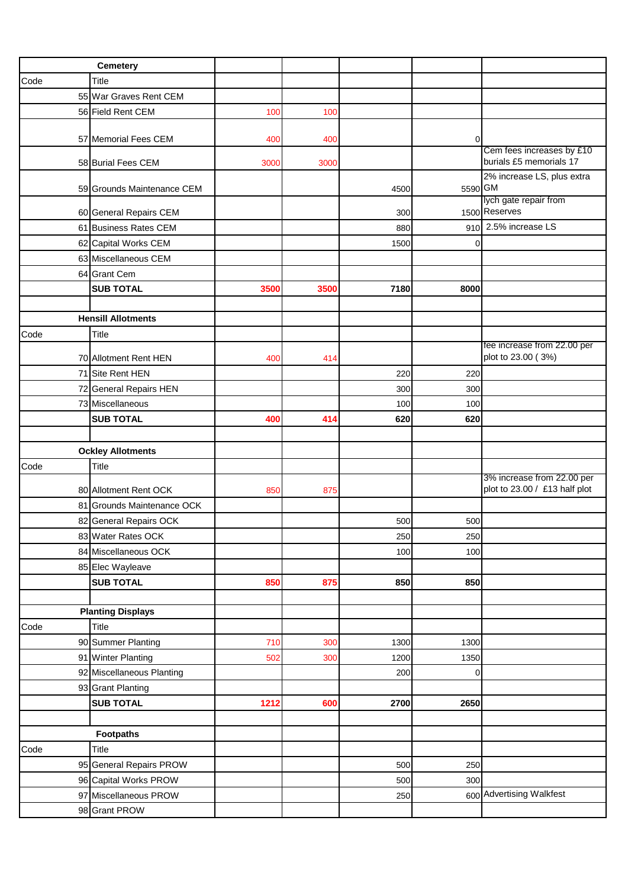|      | Cemetery                   |      |      |      |             |                                                      |
|------|----------------------------|------|------|------|-------------|------------------------------------------------------|
| Code | Title                      |      |      |      |             |                                                      |
|      | 55 War Graves Rent CEM     |      |      |      |             |                                                      |
|      | 56 Field Rent CEM          | 100  | 100  |      |             |                                                      |
|      |                            |      |      |      |             |                                                      |
|      | 57 Memorial Fees CEM       | 400  | 400  |      | 0           |                                                      |
|      | 58 Burial Fees CEM         | 3000 | 3000 |      |             | Cem fees increases by £10<br>burials £5 memorials 17 |
|      |                            |      |      |      |             | 2% increase LS, plus extra                           |
|      | 59 Grounds Maintenance CEM |      |      | 4500 | 5590 GM     |                                                      |
|      |                            |      |      |      |             | lych gate repair from                                |
|      | 60 General Repairs CEM     |      |      | 300  |             | 1500 Reserves<br>910 2.5% increase LS                |
|      | 61 Business Rates CEM      |      |      | 880  |             |                                                      |
|      | 62 Capital Works CEM       |      |      | 1500 | 0           |                                                      |
|      | 63 Miscellaneous CEM       |      |      |      |             |                                                      |
|      | 64 Grant Cem               |      |      |      |             |                                                      |
|      | <b>SUB TOTAL</b>           | 3500 | 3500 | 7180 | 8000        |                                                      |
|      |                            |      |      |      |             |                                                      |
|      | <b>Hensill Allotments</b>  |      |      |      |             |                                                      |
| Code | <b>Title</b>               |      |      |      |             | fee increase from 22.00 per                          |
|      | 70 Allotment Rent HEN      | 400  | 414  |      |             | plot to 23.00 (3%)                                   |
|      | 71 Site Rent HEN           |      |      | 220  | 220         |                                                      |
|      | 72 General Repairs HEN     |      |      | 300  | 300         |                                                      |
|      | 73 Miscellaneous           |      |      | 100  | 100         |                                                      |
|      | <b>SUB TOTAL</b>           | 400  | 414  | 620  | 620         |                                                      |
|      |                            |      |      |      |             |                                                      |
|      | <b>Ockley Allotments</b>   |      |      |      |             |                                                      |
| Code | <b>Title</b>               |      |      |      |             |                                                      |
|      |                            |      |      |      |             | 3% increase from 22.00 per                           |
|      | 80 Allotment Rent OCK      | 850  | 875  |      |             | plot to 23.00 / £13 half plot                        |
|      | 81 Grounds Maintenance OCK |      |      |      |             |                                                      |
|      | 82 General Repairs OCK     |      |      | 500  | 500         |                                                      |
|      | 83 Water Rates OCK         |      |      | 250  | 250         |                                                      |
|      | 84 Miscellaneous OCK       |      |      | 100  | 100         |                                                      |
|      | 85 Elec Wayleave           |      |      |      |             |                                                      |
|      | <b>SUB TOTAL</b>           | 850  | 875  | 850  | 850         |                                                      |
|      | <b>Planting Displays</b>   |      |      |      |             |                                                      |
| Code | Title                      |      |      |      |             |                                                      |
|      | 90 Summer Planting         | 710  | 300  | 1300 | 1300        |                                                      |
|      | 91 Winter Planting         | 502  | 300  | 1200 | 1350        |                                                      |
|      | 92 Miscellaneous Planting  |      |      | 200  | $\mathbf 0$ |                                                      |
|      | 93 Grant Planting          |      |      |      |             |                                                      |
|      | <b>SUB TOTAL</b>           | 1212 | 600  | 2700 | 2650        |                                                      |
|      |                            |      |      |      |             |                                                      |
|      | <b>Footpaths</b>           |      |      |      |             |                                                      |
| Code | Title                      |      |      |      |             |                                                      |
|      | 95 General Repairs PROW    |      |      | 500  | 250         |                                                      |
|      | 96 Capital Works PROW      |      |      | 500  | 300         |                                                      |
|      | 97 Miscellaneous PROW      |      |      | 250  |             | 600 Advertising Walkfest                             |
|      |                            |      |      |      |             |                                                      |
|      | 98 Grant PROW              |      |      |      |             |                                                      |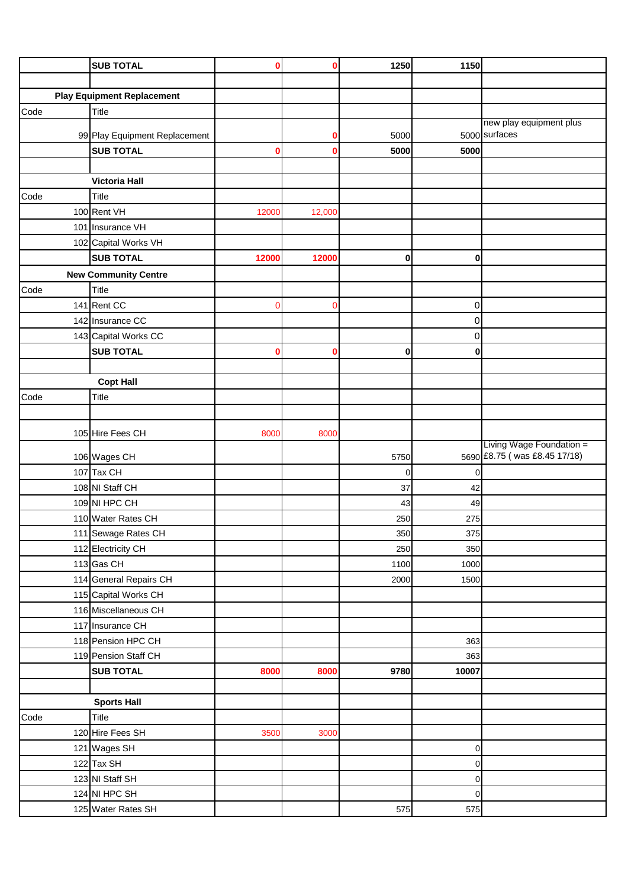|      | <b>SUB TOTAL</b>                                  | 0     | ŋ      | 1250    | 1150                 |                                                          |
|------|---------------------------------------------------|-------|--------|---------|----------------------|----------------------------------------------------------|
|      |                                                   |       |        |         |                      |                                                          |
|      | <b>Play Equipment Replacement</b>                 |       |        |         |                      |                                                          |
| Code | Title                                             |       |        |         |                      |                                                          |
|      |                                                   |       | 0      | 5000    |                      | new play equipment plus<br>5000 surfaces                 |
|      | 99 Play Equipment Replacement<br><b>SUB TOTAL</b> | 0     | О      | 5000    | 5000                 |                                                          |
|      |                                                   |       |        |         |                      |                                                          |
|      | <b>Victoria Hall</b>                              |       |        |         |                      |                                                          |
| Code | <b>Title</b>                                      |       |        |         |                      |                                                          |
|      | 100 Rent VH                                       | 12000 | 12,000 |         |                      |                                                          |
|      | 101 Insurance VH                                  |       |        |         |                      |                                                          |
|      | 102 Capital Works VH                              |       |        |         |                      |                                                          |
|      | <b>SUB TOTAL</b>                                  | 12000 | 12000  | 0       | $\mathbf{0}$         |                                                          |
|      | <b>New Community Centre</b>                       |       |        |         |                      |                                                          |
| Code | Title                                             |       |        |         |                      |                                                          |
|      | 141 Rent CC                                       | 0     | C      |         | $\overline{0}$       |                                                          |
|      | 142 Insurance CC                                  |       |        |         | 0                    |                                                          |
|      | 143 Capital Works CC                              |       |        |         | $\mathbf 0$          |                                                          |
|      | <b>SUB TOTAL</b>                                  | 0     |        | 0       | 0                    |                                                          |
|      |                                                   |       |        |         |                      |                                                          |
|      | <b>Copt Hall</b>                                  |       |        |         |                      |                                                          |
| Code | Title                                             |       |        |         |                      |                                                          |
|      |                                                   |       |        |         |                      |                                                          |
|      | 105 Hire Fees CH                                  | 8000  | 8000   |         |                      |                                                          |
|      |                                                   |       |        |         |                      | Living Wage Foundation =<br>5690 £8.75 (was £8.45 17/18) |
|      | 106 Wages CH<br>107 Tax CH                        |       |        | 5750    |                      |                                                          |
|      | 108 NI Staff CH                                   |       |        | 0<br>37 | $\overline{0}$<br>42 |                                                          |
|      | 109 NI HPC CH                                     |       |        | 43      | 49                   |                                                          |
|      | 110 Water Rates CH                                |       |        | 250     | 275                  |                                                          |
|      | 111 Sewage Rates CH                               |       |        | 350     | 375                  |                                                          |
|      | 112 Electricity CH                                |       |        | 250     | 350                  |                                                          |
|      | 113 Gas CH                                        |       |        | 1100    | 1000                 |                                                          |
|      | 114 General Repairs CH                            |       |        | 2000    | 1500                 |                                                          |
|      | 115 Capital Works CH                              |       |        |         |                      |                                                          |
|      | 116 Miscellaneous CH                              |       |        |         |                      |                                                          |
|      | 117 Insurance CH                                  |       |        |         |                      |                                                          |
|      | 118 Pension HPC CH                                |       |        |         | 363                  |                                                          |
|      | 119 Pension Staff CH                              |       |        |         | 363                  |                                                          |
|      | <b>SUB TOTAL</b>                                  | 8000  | 8000   | 9780    | 10007                |                                                          |
|      |                                                   |       |        |         |                      |                                                          |
|      | <b>Sports Hall</b>                                |       |        |         |                      |                                                          |
| Code | <b>Title</b>                                      |       |        |         |                      |                                                          |
|      | 120 Hire Fees SH                                  | 3500  | 3000   |         |                      |                                                          |
|      | 121 Wages SH                                      |       |        |         | $\overline{0}$       |                                                          |
|      | 122 Tax SH                                        |       |        |         | $\overline{0}$       |                                                          |
|      | 123 NI Staff SH                                   |       |        |         | $\overline{O}$       |                                                          |
|      | 124 NI HPC SH                                     |       |        |         | $\overline{0}$       |                                                          |
|      | 125 Water Rates SH                                |       |        | 575     | 575                  |                                                          |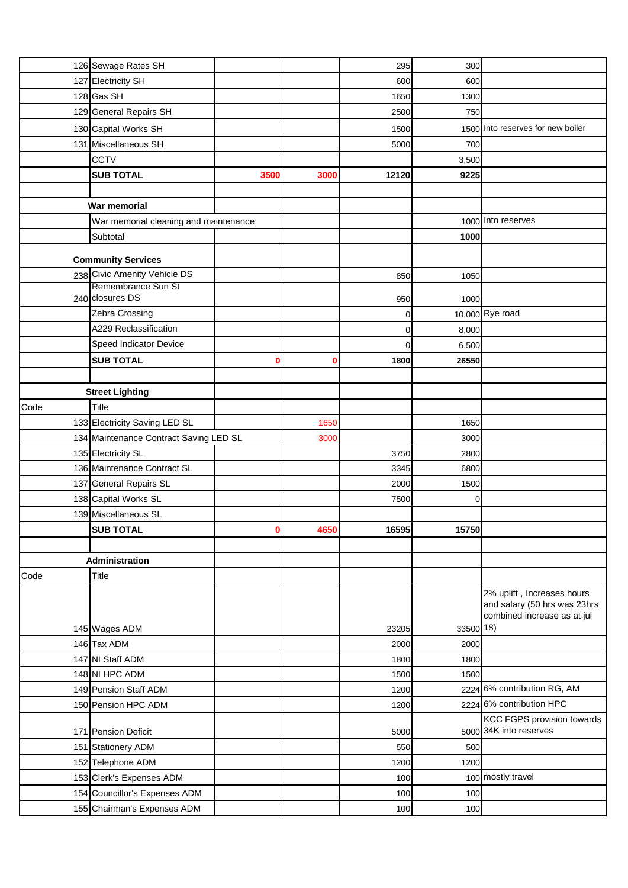|      | 126 Sewage Rates SH                    |      |      | 295         | 300         |                                                                                           |
|------|----------------------------------------|------|------|-------------|-------------|-------------------------------------------------------------------------------------------|
|      | 127 Electricity SH                     |      |      | 600         | 600         |                                                                                           |
|      | 128 Gas SH                             |      |      | 1650        | 1300        |                                                                                           |
|      | 129 General Repairs SH                 |      |      | 2500        | 750         |                                                                                           |
|      | 130 Capital Works SH                   |      |      | 1500        |             | 1500 Into reserves for new boiler                                                         |
|      | 131 Miscellaneous SH                   |      |      | 5000        | 700         |                                                                                           |
|      | CCTV                                   |      |      |             | 3,500       |                                                                                           |
|      | <b>SUB TOTAL</b>                       | 3500 | 3000 | 12120       | 9225        |                                                                                           |
|      |                                        |      |      |             |             |                                                                                           |
|      | War memorial                           |      |      |             |             |                                                                                           |
|      | War memorial cleaning and maintenance  |      |      |             |             | 1000 Into reserves                                                                        |
|      | Subtotal                               |      |      |             | 1000        |                                                                                           |
|      | <b>Community Services</b>              |      |      |             |             |                                                                                           |
|      | 238 Civic Amenity Vehicle DS           |      |      | 850         | 1050        |                                                                                           |
|      | Remembrance Sun St                     |      |      |             |             |                                                                                           |
|      | 240 closures DS                        |      |      | 950         | 1000        |                                                                                           |
|      | Zebra Crossing                         |      |      | 0           |             | 10,000 Rye road                                                                           |
|      | A229 Reclassification                  |      |      | 0           | 8,000       |                                                                                           |
|      | Speed Indicator Device                 |      |      | $\mathbf 0$ | 6,500       |                                                                                           |
|      | <b>SUB TOTAL</b>                       |      | 0    | 1800        | 26550       |                                                                                           |
|      |                                        |      |      |             |             |                                                                                           |
|      | <b>Street Lighting</b>                 |      |      |             |             |                                                                                           |
| Code | <b>Title</b>                           |      |      |             |             |                                                                                           |
|      | 133 Electricity Saving LED SL          |      | 1650 |             | 1650        |                                                                                           |
|      | 134 Maintenance Contract Saving LED SL |      | 3000 |             | 3000        |                                                                                           |
|      | 135 Electricity SL                     |      |      | 3750        | 2800        |                                                                                           |
|      | 136 Maintenance Contract SL            |      |      | 3345        | 6800        |                                                                                           |
|      | 137 General Repairs SL                 |      |      | 2000        | 1500        |                                                                                           |
|      | 138 Capital Works SL                   |      |      | 7500        | $\mathbf 0$ |                                                                                           |
|      | 139 Miscellaneous SL                   |      |      |             |             |                                                                                           |
|      | <b>SUB TOTAL</b>                       |      | 4650 | 16595       | 15750       |                                                                                           |
|      |                                        |      |      |             |             |                                                                                           |
|      | Administration                         |      |      |             |             |                                                                                           |
| Code | <b>Title</b>                           |      |      |             |             |                                                                                           |
|      |                                        |      |      |             |             | 2% uplift, Increases hours<br>and salary (50 hrs was 23hrs<br>combined increase as at jul |
|      | 145 Wages ADM                          |      |      | 23205       | 33500 18)   |                                                                                           |
|      | 146 Tax ADM                            |      |      | 2000        | 2000        |                                                                                           |
|      | 147 NI Staff ADM                       |      |      | 1800        | 1800        |                                                                                           |
|      | 148 NI HPC ADM                         |      |      | 1500        | 1500        |                                                                                           |
|      | 149 Pension Staff ADM                  |      |      | 1200        |             | 2224 6% contribution RG, AM                                                               |
|      | 150 Pension HPC ADM                    |      |      | 1200        |             | 2224 6% contribution HPC                                                                  |
|      | 171 Pension Deficit                    |      |      | 5000        |             | <b>KCC FGPS provision towards</b><br>5000 34K into reserves                               |
|      | 151 Stationery ADM                     |      |      | 550         | 500         |                                                                                           |
|      | 152 Telephone ADM                      |      |      | 1200        | 1200        |                                                                                           |
|      | 153 Clerk's Expenses ADM               |      |      | 100         |             | 100 mostly travel                                                                         |
|      | 154 Councillor's Expenses ADM          |      |      | 100         | 100         |                                                                                           |
|      | 155 Chairman's Expenses ADM            |      |      | 100         | 100         |                                                                                           |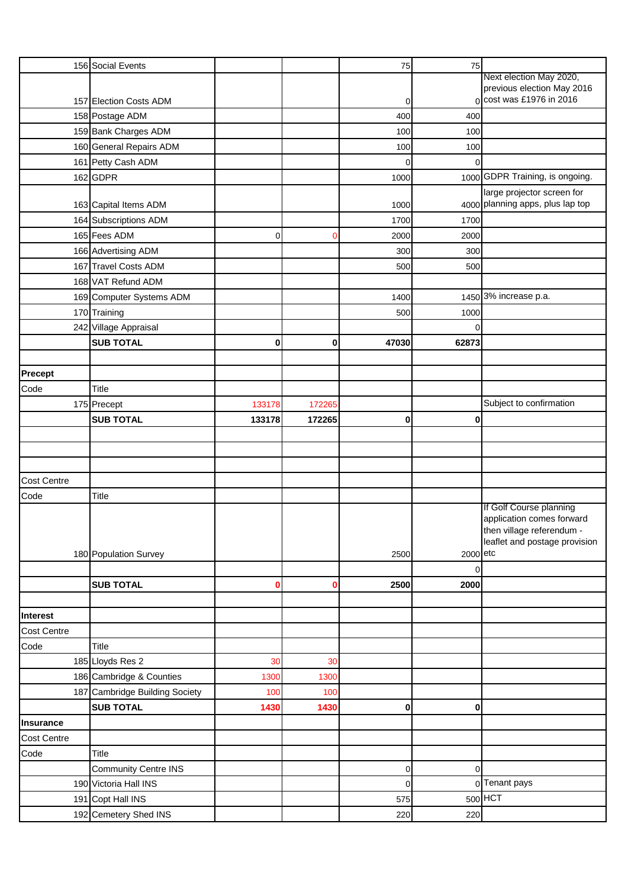|                    | 156 Social Events              |          |             | 75               | 75             |                                                                                                                  |
|--------------------|--------------------------------|----------|-------------|------------------|----------------|------------------------------------------------------------------------------------------------------------------|
|                    |                                |          |             |                  |                | Next election May 2020,                                                                                          |
|                    | 157 Election Costs ADM         |          |             |                  |                | previous election May 2016<br>0 cost was £1976 in 2016                                                           |
|                    |                                |          |             | 0                |                |                                                                                                                  |
|                    | 158 Postage ADM                |          |             | 400              | 400            |                                                                                                                  |
|                    | 159 Bank Charges ADM           |          |             | 100              | 100            |                                                                                                                  |
|                    | 160 General Repairs ADM        |          |             | 100              | 100            |                                                                                                                  |
|                    | 161 Petty Cash ADM             |          |             | $\mathbf 0$      | $\Omega$       |                                                                                                                  |
|                    | 162 GDPR                       |          |             | 1000             |                | 1000 GDPR Training, is ongoing.                                                                                  |
|                    |                                |          |             |                  |                | large projector screen for<br>4000 planning apps, plus lap top                                                   |
|                    | 163 Capital Items ADM          |          |             | 1000             |                |                                                                                                                  |
|                    | 164 Subscriptions ADM          |          |             | 1700             | 1700           |                                                                                                                  |
|                    | 165 Fees ADM                   | 0        | 0           | 2000             | 2000           |                                                                                                                  |
|                    | 166 Advertising ADM            |          |             | 300              | 300            |                                                                                                                  |
|                    | 167 Travel Costs ADM           |          |             | 500              | 500            |                                                                                                                  |
|                    | 168 VAT Refund ADM             |          |             |                  |                |                                                                                                                  |
|                    | 169 Computer Systems ADM       |          |             | 1400             |                | 1450 3% increase p.a.                                                                                            |
|                    | 170 Training                   |          |             | 500              | 1000           |                                                                                                                  |
|                    | 242 Village Appraisal          |          |             |                  | $\Omega$       |                                                                                                                  |
|                    | <b>SUB TOTAL</b>               | $\bf{0}$ | $\mathbf 0$ | 47030            | 62873          |                                                                                                                  |
|                    |                                |          |             |                  |                |                                                                                                                  |
| Precept            |                                |          |             |                  |                |                                                                                                                  |
| Code               | <b>Title</b>                   |          |             |                  |                |                                                                                                                  |
|                    | 175 Precept                    | 133178   | 172265      |                  |                | Subject to confirmation                                                                                          |
|                    | <b>SUB TOTAL</b>               | 133178   | 172265      | $\bf{0}$         | 0              |                                                                                                                  |
|                    |                                |          |             |                  |                |                                                                                                                  |
|                    |                                |          |             |                  |                |                                                                                                                  |
|                    |                                |          |             |                  |                |                                                                                                                  |
| <b>Cost Centre</b> |                                |          |             |                  |                |                                                                                                                  |
| Code               | <b>Title</b>                   |          |             |                  |                |                                                                                                                  |
|                    | 180 Population Survey          |          |             | 2500             | 2000 etc       | If Golf Course planning<br>application comes forward<br>then village referendum<br>leaflet and postage provision |
|                    |                                |          |             |                  | $\overline{0}$ |                                                                                                                  |
|                    | <b>SUB TOTAL</b>               | o        | 0           | 2500             | 2000           |                                                                                                                  |
|                    |                                |          |             |                  |                |                                                                                                                  |
| Interest           |                                |          |             |                  |                |                                                                                                                  |
| <b>Cost Centre</b> |                                |          |             |                  |                |                                                                                                                  |
| Code               | Title                          |          |             |                  |                |                                                                                                                  |
|                    | 185 Lloyds Res 2               | 30       | 30          |                  |                |                                                                                                                  |
|                    | 186 Cambridge & Counties       | 1300     | 1300        |                  |                |                                                                                                                  |
|                    | 187 Cambridge Building Society | 100      | 100         |                  |                |                                                                                                                  |
|                    | <b>SUB TOTAL</b>               | 1430     | 1430        | $\bf{0}$         | 0              |                                                                                                                  |
| Insurance          |                                |          |             |                  |                |                                                                                                                  |
| <b>Cost Centre</b> |                                |          |             |                  |                |                                                                                                                  |
|                    |                                |          |             |                  |                |                                                                                                                  |
| Code               | Title                          |          |             |                  |                |                                                                                                                  |
|                    | <b>Community Centre INS</b>    |          |             | $\boldsymbol{0}$ | $\mathbf 0$    |                                                                                                                  |
|                    | 190 Victoria Hall INS          |          |             | $\mathbf 0$      |                | 0 Tenant pays                                                                                                    |
|                    | 191 Copt Hall INS              |          |             | 575              |                | $500$ HCT                                                                                                        |
|                    | 192 Cemetery Shed INS          |          |             | 220              | 220            |                                                                                                                  |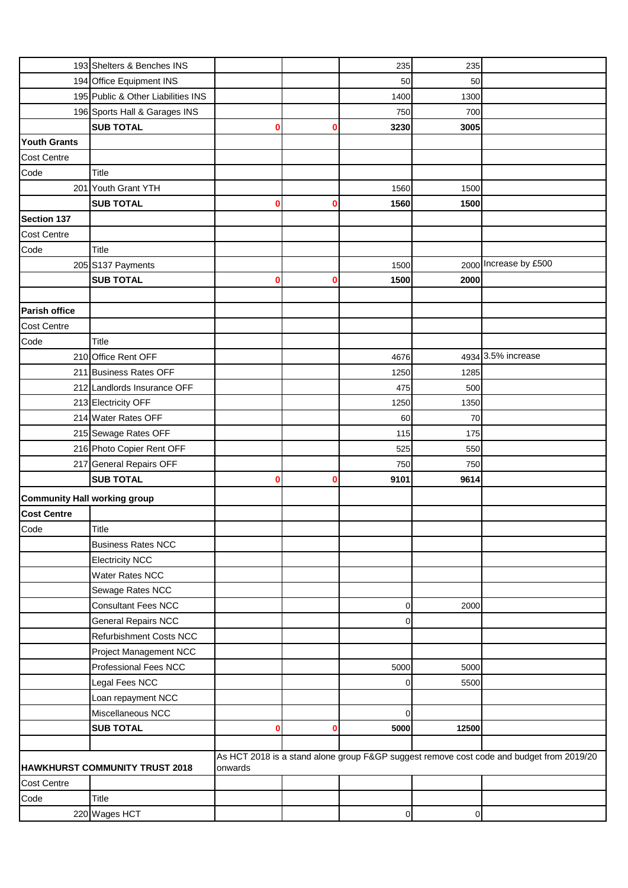|                                     | 193 Shelters & Benches INS         |         |   | 235            | 235            |                                                                                          |
|-------------------------------------|------------------------------------|---------|---|----------------|----------------|------------------------------------------------------------------------------------------|
|                                     | 194 Office Equipment INS           |         |   | 50             | 50             |                                                                                          |
|                                     | 195 Public & Other Liabilities INS |         |   | 1400           | 1300           |                                                                                          |
|                                     | 196 Sports Hall & Garages INS      |         |   | 750            | 700            |                                                                                          |
|                                     | <b>SUB TOTAL</b>                   | 0       | 0 | 3230           | 3005           |                                                                                          |
| <b>Youth Grants</b>                 |                                    |         |   |                |                |                                                                                          |
| <b>Cost Centre</b>                  |                                    |         |   |                |                |                                                                                          |
| Code                                | <b>Title</b>                       |         |   |                |                |                                                                                          |
|                                     | 201 Youth Grant YTH                |         |   | 1560           | 1500           |                                                                                          |
|                                     | <b>SUB TOTAL</b>                   | 0       | 0 | 1560           | 1500           |                                                                                          |
| Section 137                         |                                    |         |   |                |                |                                                                                          |
| <b>Cost Centre</b>                  |                                    |         |   |                |                |                                                                                          |
| Code                                | <b>Title</b>                       |         |   |                |                |                                                                                          |
|                                     | 205 S137 Payments                  |         |   | 1500           |                | 2000 Increase by £500                                                                    |
|                                     | <b>SUB TOTAL</b>                   | 0       | Ω | 1500           | 2000           |                                                                                          |
|                                     |                                    |         |   |                |                |                                                                                          |
| <b>Parish office</b>                |                                    |         |   |                |                |                                                                                          |
| <b>Cost Centre</b>                  |                                    |         |   |                |                |                                                                                          |
| Code                                | <b>Title</b>                       |         |   |                |                |                                                                                          |
|                                     | 210 Office Rent OFF                |         |   | 4676           |                | 4934 3.5% increase                                                                       |
|                                     | 211 Business Rates OFF             |         |   | 1250           | 1285           |                                                                                          |
|                                     | 212 Landlords Insurance OFF        |         |   | 475            | 500            |                                                                                          |
|                                     | 213 Electricity OFF                |         |   | 1250           | 1350           |                                                                                          |
|                                     | 214 Water Rates OFF                |         |   | 60             | 70             |                                                                                          |
|                                     |                                    |         |   | 115            |                |                                                                                          |
|                                     | 215 Sewage Rates OFF               |         |   |                | 175            |                                                                                          |
|                                     | 216 Photo Copier Rent OFF          |         |   | 525            | 550            |                                                                                          |
|                                     | 217 General Repairs OFF            |         |   | 750            | 750            |                                                                                          |
|                                     | <b>SUB TOTAL</b>                   | 0       | 0 | 9101           | 9614           |                                                                                          |
| <b>Community Hall working group</b> |                                    |         |   |                |                |                                                                                          |
| <b>Cost Centre</b>                  |                                    |         |   |                |                |                                                                                          |
| Code                                | <b>Title</b>                       |         |   |                |                |                                                                                          |
|                                     | <b>Business Rates NCC</b>          |         |   |                |                |                                                                                          |
|                                     | <b>Electricity NCC</b>             |         |   |                |                |                                                                                          |
|                                     | Water Rates NCC                    |         |   |                |                |                                                                                          |
|                                     | Sewage Rates NCC                   |         |   |                |                |                                                                                          |
|                                     | <b>Consultant Fees NCC</b>         |         |   | 0              | 2000           |                                                                                          |
|                                     | <b>General Repairs NCC</b>         |         |   | $\overline{0}$ |                |                                                                                          |
|                                     | Refurbishment Costs NCC            |         |   |                |                |                                                                                          |
|                                     | Project Management NCC             |         |   |                |                |                                                                                          |
|                                     | Professional Fees NCC              |         |   | 5000           | 5000           |                                                                                          |
|                                     | Legal Fees NCC                     |         |   | $\overline{0}$ | 5500           |                                                                                          |
|                                     | Loan repayment NCC                 |         |   |                |                |                                                                                          |
|                                     | Miscellaneous NCC                  |         |   | $\overline{0}$ |                |                                                                                          |
|                                     | <b>SUB TOTAL</b>                   | 0       | 0 | 5000           | 12500          |                                                                                          |
|                                     |                                    |         |   |                |                |                                                                                          |
|                                     |                                    |         |   |                |                | As HCT 2018 is a stand alone group F&GP suggest remove cost code and budget from 2019/20 |
|                                     | HAWKHURST COMMUNITY TRUST 2018     | onwards |   |                |                |                                                                                          |
| <b>Cost Centre</b>                  |                                    |         |   |                |                |                                                                                          |
| Code                                | <b>Title</b>                       |         |   |                |                |                                                                                          |
|                                     | 220 Wages HCT                      |         |   | $\overline{0}$ | $\overline{0}$ |                                                                                          |